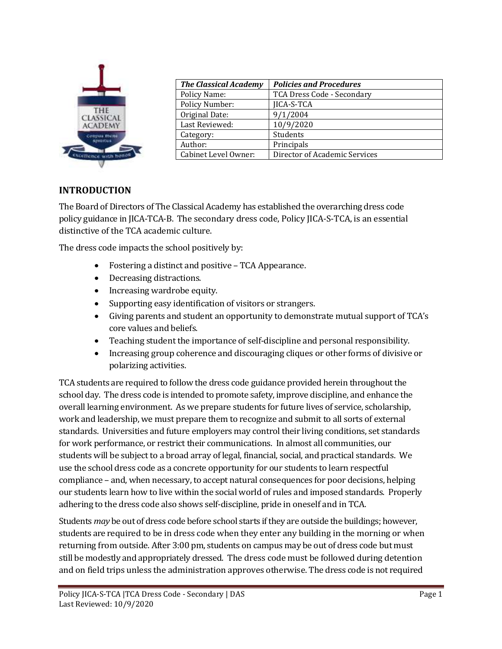

| <b>The Classical Academy</b> | <b>Policies and Procedures</b> |
|------------------------------|--------------------------------|
| Policy Name:                 | TCA Dress Code - Secondary     |
| <b>Policy Number:</b>        | <b>JICA-S-TCA</b>              |
| Original Date:               | 9/1/2004                       |
| Last Reviewed:               | 10/9/2020                      |
| Category:                    | Students                       |
| Author:                      | Principals                     |
| <b>Cabinet Level Owner:</b>  | Director of Academic Services  |
|                              |                                |

# **INTRODUCTION**

The Board of Directors of The Classical Academy has established the overarching dress code policy guidance in JICA-TCA-B. The secondary dress code, Policy JICA-S-TCA, is an essential distinctive of the TCA academic culture.

The dress code impacts the school positively by:

- Fostering a distinct and positive TCA Appearance.
- Decreasing distractions.
- Increasing wardrobe equity.
- Supporting easy identification of visitors or strangers.
- Giving parents and student an opportunity to demonstrate mutual support of TCA's core values and beliefs.
- Teaching student the importance of self-discipline and personal responsibility.
- Increasing group coherence and discouraging cliques or other forms of divisive or polarizing activities.

TCA students are required to follow the dress code guidance provided herein throughout the school day. The dress code is intended to promote safety, improve discipline, and enhance the overall learning environment. As we prepare students for future lives of service, scholarship, work and leadership, we must prepare them to recognize and submit to all sorts of external standards. Universities and future employers may control their living conditions, set standards for work performance, or restrict their communications. In almost all communities, our students will be subject to a broad array of legal, financial, social, and practical standards. We use the school dress code as a concrete opportunity for our students to learn respectful compliance – and, when necessary, to accept natural consequences for poor decisions, helping our students learn how to live within the social world of rules and imposed standards. Properly adhering to the dress code also shows self-discipline, pride in oneself and in TCA.

Students *may* be out of dress code before school starts if they are outside the buildings; however, students are required to be in dress code when they enter any building in the morning or when returning from outside. After 3:00 pm, students on campus may be out of dress code but must still be modestly and appropriately dressed. The dress code must be followed during detention and on field trips unless the administration approves otherwise. The dress code is not required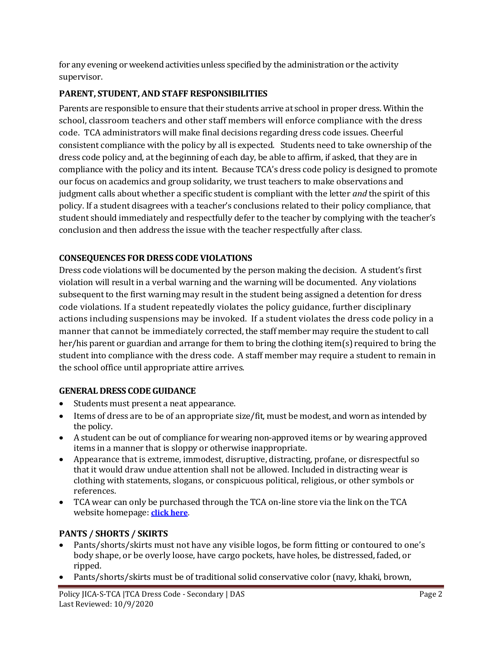for any evening or weekend activities unless specified by the administration or the activity supervisor.

# **PARENT, STUDENT, AND STAFF RESPONSIBILITIES**

Parents are responsible to ensure that their students arrive at school in proper dress. Within the school, classroom teachers and other staff members will enforce compliance with the dress code. TCA administrators will make final decisions regarding dress code issues. Cheerful consistent compliance with the policy by all is expected. Students need to take ownership of the dress code policy and, at the beginning of each day, be able to affirm, if asked, that they are in compliance with the policy and its intent. Because TCA's dress code policy is designed to promote our focus on academics and group solidarity, we trust teachers to make observations and judgment calls about whether a specific student is compliant with the letter *and* the spirit of this policy. If a student disagrees with a teacher's conclusions related to their policy compliance, that student should immediately and respectfully defer to the teacher by complying with the teacher's conclusion and then address the issue with the teacher respectfully after class.

# **CONSEQUENCES FOR DRESS CODE VIOLATIONS**

Dress code violations will be documented by the person making the decision. A student's first violation will result in a verbal warning and the warning will be documented. Any violations subsequent to the first warning may result in the student being assigned a detention for dress code violations. If a student repeatedly violates the policy guidance, further disciplinary actions including suspensions may be invoked. If a student violates the dress code policy in a manner that cannot be immediately corrected, the staff member may require the student to call her/his parent or guardian and arrange for them to bring the clothing item(s) required to bring the student into compliance with the dress code. A staff member may require a student to remain in the school office until appropriate attire arrives.

## **GENERAL DRESS CODE GUIDANCE**

- Students must present a neat appearance.
- Items of dress are to be of an appropriate size/fit, must be modest, and worn as intended by the policy.
- A student can be out of compliance for wearing non-approved items or by wearing approved items in a manner that is sloppy or otherwise inappropriate.
- Appearance that is extreme, immodest, disruptive, distracting, profane, or disrespectful so that it would draw undue attention shall not be allowed. Included in distracting wear is clothing with statements, slogans, or conspicuous political, religious, or other symbols or references.
- TCA wear can only be purchased through the TCA on-line store via the link on the TCA website homepage: **[click here](https://sideline.bsnsports.com/schools/colorado/coloradosprings/the-classical-academy)**.

## **PANTS / SHORTS / SKIRTS**

- Pants/shorts/skirts must not have any visible logos, be form fitting or contoured to one's body shape, or be overly loose, have cargo pockets, have holes, be distressed, faded, or ripped.
- Pants/shorts/skirts must be of traditional solid conservative color (navy, khaki, brown,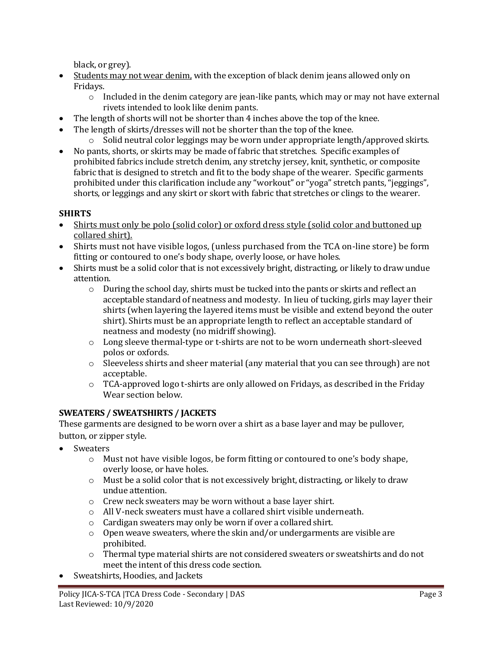black, or grey).

- Students may not wear denim, with the exception of black denim jeans allowed only on Fridays.
	- $\circ$  Included in the denim category are jean-like pants, which may or may not have external rivets intended to look like denim pants.
- The length of shorts will not be shorter than 4 inches above the top of the knee.
- The length of skirts/dresses will not be shorter than the top of the knee.
	- $\circ$  Solid neutral color leggings may be worn under appropriate length/approved skirts.
- No pants, shorts, or skirts may be made of fabric that stretches. Specific examples of prohibited fabrics include stretch denim, any stretchy jersey, knit, synthetic, or composite fabric that is designed to stretch and fit to the body shape of the wearer. Specific garments prohibited under this clarification include any "workout" or "yoga" stretch pants, "jeggings", shorts, or leggings and any skirt or skort with fabric that stretches or clings to the wearer.

## **SHIRTS**

- Shirts must only be polo (solid color) or oxford dress style (solid color and buttoned up collared shirt).
- Shirts must not have visible logos, (unless purchased from the TCA on-line store) be form fitting or contoured to one's body shape, overly loose, or have holes.
- Shirts must be a solid color that is not excessively bright, distracting, or likely to draw undue attention.
	- $\circ$  During the school day, shirts must be tucked into the pants or skirts and reflect an acceptable standard of neatness and modesty. In lieu of tucking, girls may layer their shirts (when layering the layered items must be visible and extend beyond the outer shirt). Shirts must be an appropriate length to reflect an acceptable standard of neatness and modesty (no midriff showing).
	- o Long sleeve thermal-type or t-shirts are not to be worn underneath short-sleeved polos or oxfords.
	- $\circ$  Sleeveless shirts and sheer material (any material that you can see through) are not acceptable.
	- $\circ$  TCA-approved logo t-shirts are only allowed on Fridays, as described in the Friday Wear section below.

## **SWEATERS / SWEATSHIRTS / JACKETS**

These garments are designed to be worn over a shirt as a base layer and may be pullover, button, or zipper style.

- **Sweaters** 
	- o Must not have visible logos, be form fitting or contoured to one's body shape, overly loose, or have holes.
	- $\circ$  Must be a solid color that is not excessively bright, distracting, or likely to draw undue attention.
	- o Crew neck sweaters may be worn without a base layer shirt.
	- o All V-neck sweaters must have a collared shirt visible underneath.
	- o Cardigan sweaters may only be worn if over a collared shirt.
	- $\circ$  Open weave sweaters, where the skin and/or undergarments are visible are prohibited.
	- o Thermal type material shirts are not considered sweaters or sweatshirts and do not meet the intent of this dress code section.
- Sweatshirts, Hoodies, and Jackets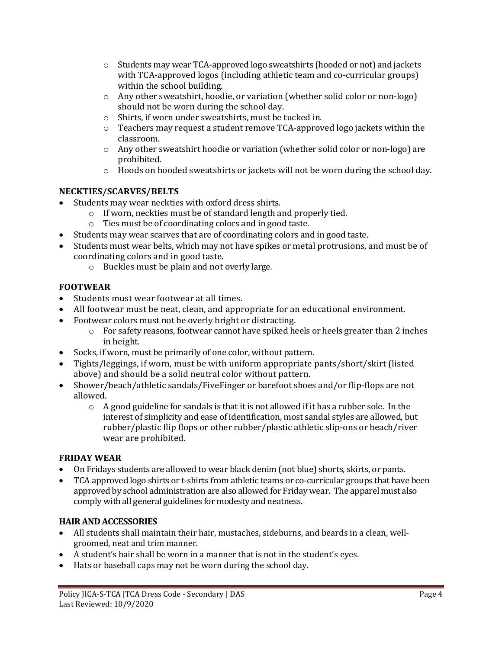- $\circ$  Students may wear TCA-approved logo sweatshirts (hooded or not) and jackets with TCA-approved logos (including athletic team and co-curricular groups) within the school building.
- o Any other sweatshirt, hoodie, or variation (whether solid color or non-logo) should not be worn during the school day.
- o Shirts, if worn under sweatshirts, must be tucked in.
- $\circ$  Teachers may request a student remove TCA-approved logo jackets within the classroom.
- $\circ$  Any other sweatshirt hoodie or variation (whether solid color or non-logo) are prohibited.
- o Hoods on hooded sweatshirts or jackets will not be worn during the school day.

# **NECKTIES/SCARVES/BELTS**

- Students may wear neckties with oxford dress shirts.
	- o If worn, neckties must be of standard length and properly tied.
	- o Ties must be of coordinating colors and in good taste.
- Students may wear scarves that are of coordinating colors and in good taste.
- Students must wear belts, which may not have spikes or metal protrusions, and must be of coordinating colors and in good taste.
	- o Buckles must be plain and not overly large.

## **FOOTWEAR**

- Students must wear footwear at all times.
- All footwear must be neat, clean, and appropriate for an educational environment.
- Footwear colors must not be overly bright or distracting.
	- $\circ$  For safety reasons, footwear cannot have spiked heels or heels greater than 2 inches in height.
- Socks, if worn, must be primarily of one color, without pattern.
- Tights/leggings, if worn, must be with uniform appropriate pants/short/skirt (listed above) and should be a solid neutral color without pattern.
- Shower/beach/athletic sandals/FiveFinger or barefoot shoes and/or flip-flops are not allowed.
	- $\circ$  A good guideline for sandals is that it is not allowed if it has a rubber sole. In the interest of simplicity and ease of identification, most sandal styles are allowed, but rubber/plastic flip flops or other rubber/plastic athletic slip-ons or beach/river wear are prohibited.

## **FRIDAY WEAR**

- On Fridays students are allowed to wear black denim (not blue) shorts, skirts, or pants.
- TCA approved logo shirts or t-shirts from athletic teams or co-curricular groups that have been approved by school administration are also allowed for Friday wear. The apparel must also comply with all general guidelines for modesty and neatness.

## **HAIR AND ACCESSORIES**

- All students shall maintain their hair, mustaches, sideburns, and beards in a clean, wellgroomed, neat and trim manner.
- A student's hair shall be worn in a manner that is not in the student's eyes.
- Hats or baseball caps may not be worn during the school day.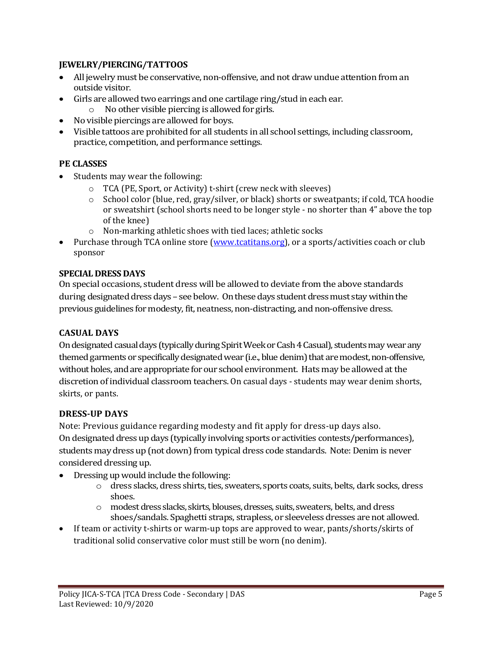### **JEWELRY/PIERCING/TATTOOS**

- All jewelry must be conservative, non-offensive, and not draw undue attention from an outside visitor.
- Girls are allowed two earrings and one cartilage ring/stud in each ear.
	- o No other visible piercing is allowed for girls.
- No visible piercings are allowed for boys.
- Visible tattoos are prohibited for all students in all school settings, including classroom, practice, competition, and performance settings.

### **PE CLASSES**

- Students may wear the following:
	- o TCA (PE, Sport, or Activity) t-shirt (crew neck with sleeves)
	- o School color (blue, red, gray/silver, or black) shorts or sweatpants; if cold, TCA hoodie or sweatshirt (school shorts need to be longer style - no shorter than 4" above the top of the knee)
	- o Non-marking athletic shoes with tied laces; athletic socks
- Purchase through TCA online store [\(www.tcatitans.org\)](http://www.tcatitans.org/), or a sports/activities coach or club sponsor

### **SPECIAL DRESS DAYS**

On special occasions, student dress will be allowed to deviate from the above standards during designated dress days – see below. On these days student dress must stay within the previous guidelines for modesty, fit, neatness, non-distracting, and non-offensive dress.

### **CASUAL DAYS**

On designated casual days (typically during Spirit Week or Cash 4 Casual), students may wear any themed garments or specifically designated wear (i.e., blue denim) that are modest, non-offensive, without holes, and are appropriate for our school environment. Hats may be allowed at the discretion of individual classroom teachers.On casual days - students may wear denim shorts, skirts, or pants.

### **DRESS-UP DAYS**

Note: Previous guidance regarding modesty and fit apply for dress-up days also. On designated dress up days (typically involving sports or activities contests/performances), students may dress up (not down) from typical dress code standards. Note: Denim is never considered dressing up.

- Dressing up would include the following:
	- o dress slacks, dress shirts, ties, sweaters, sports coats, suits, belts, dark socks, dress shoes.
	- o modest dress slacks, skirts, blouses, dresses, suits, sweaters, belts, and dress shoes/sandals. Spaghetti straps, strapless, or sleeveless dresses are not allowed.
- If team or activity t-shirts or warm-up tops are approved to wear, pants/shorts/skirts of traditional solid conservative color must still be worn (no denim).